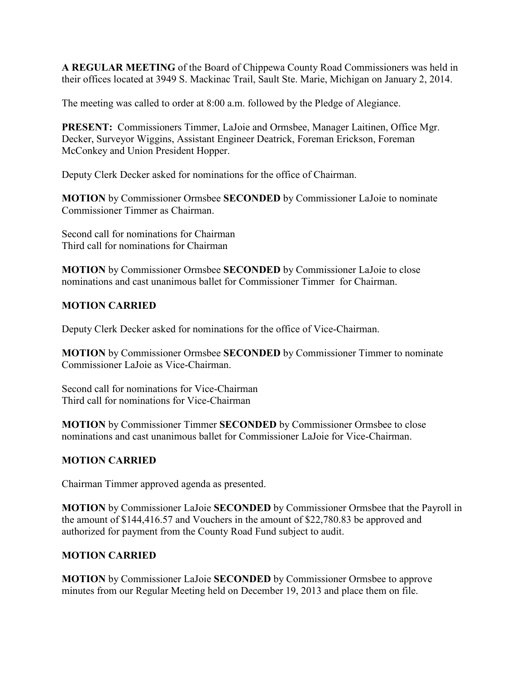**A REGULAR MEETING** of the Board of Chippewa County Road Commissioners was held in their offices located at 3949 S. Mackinac Trail, Sault Ste. Marie, Michigan on January 2, 2014.

The meeting was called to order at 8:00 a.m. followed by the Pledge of Alegiance.

**PRESENT:** Commissioners Timmer, LaJoie and Ormsbee, Manager Laitinen, Office Mgr. Decker, Surveyor Wiggins, Assistant Engineer Deatrick, Foreman Erickson, Foreman McConkey and Union President Hopper.

Deputy Clerk Decker asked for nominations for the office of Chairman.

**MOTION** by Commissioner Ormsbee **SECONDED** by Commissioner LaJoie to nominate Commissioner Timmer as Chairman.

Second call for nominations for Chairman Third call for nominations for Chairman

**MOTION** by Commissioner Ormsbee **SECONDED** by Commissioner LaJoie to close nominations and cast unanimous ballet for Commissioner Timmer for Chairman.

# **MOTION CARRIED**

Deputy Clerk Decker asked for nominations for the office of Vice-Chairman.

**MOTION** by Commissioner Ormsbee **SECONDED** by Commissioner Timmer to nominate Commissioner LaJoie as Vice-Chairman.

Second call for nominations for Vice-Chairman Third call for nominations for Vice-Chairman

**MOTION** by Commissioner Timmer **SECONDED** by Commissioner Ormsbee to close nominations and cast unanimous ballet for Commissioner LaJoie for Vice-Chairman.

## **MOTION CARRIED**

Chairman Timmer approved agenda as presented.

**MOTION** by Commissioner LaJoie **SECONDED** by Commissioner Ormsbee that the Payroll in the amount of \$144,416.57 and Vouchers in the amount of \$22,780.83 be approved and authorized for payment from the County Road Fund subject to audit.

## **MOTION CARRIED**

**MOTION** by Commissioner LaJoie **SECONDED** by Commissioner Ormsbee to approve minutes from our Regular Meeting held on December 19, 2013 and place them on file.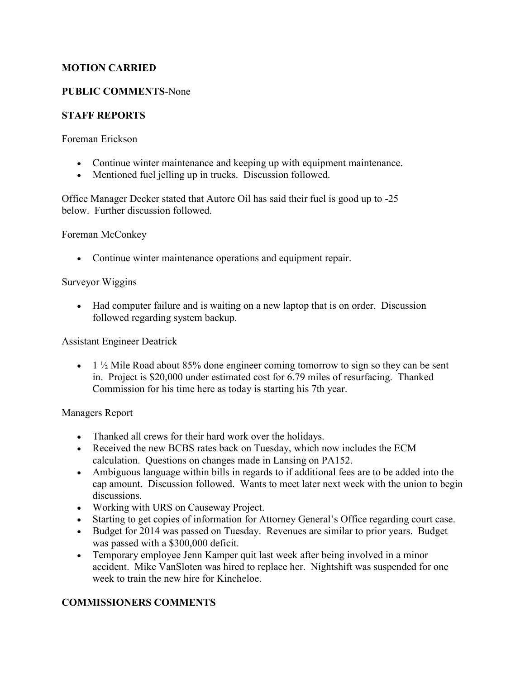### **MOTION CARRIED**

### **PUBLIC COMMENTS**-None

### **STAFF REPORTS**

Foreman Erickson

- Continue winter maintenance and keeping up with equipment maintenance.
- Mentioned fuel jelling up in trucks. Discussion followed.

Office Manager Decker stated that Autore Oil has said their fuel is good up to -25 below. Further discussion followed.

Foreman McConkey

• Continue winter maintenance operations and equipment repair.

#### Surveyor Wiggins

• Had computer failure and is waiting on a new laptop that is on order. Discussion followed regarding system backup.

Assistant Engineer Deatrick

• 1  $\frac{1}{2}$  Mile Road about 85% done engineer coming tomorrow to sign so they can be sent in. Project is \$20,000 under estimated cost for 6.79 miles of resurfacing. Thanked Commission for his time here as today is starting his 7th year.

#### Managers Report

- Thanked all crews for their hard work over the holidays.
- Received the new BCBS rates back on Tuesday, which now includes the ECM calculation. Questions on changes made in Lansing on PA152.
- Ambiguous language within bills in regards to if additional fees are to be added into the cap amount. Discussion followed. Wants to meet later next week with the union to begin discussions.
- Working with URS on Causeway Project.
- Starting to get copies of information for Attorney General's Office regarding court case.
- Budget for 2014 was passed on Tuesday. Revenues are similar to prior years. Budget was passed with a \$300,000 deficit.
- Temporary employee Jenn Kamper quit last week after being involved in a minor accident. Mike VanSloten was hired to replace her. Nightshift was suspended for one week to train the new hire for Kincheloe.

#### **COMMISSIONERS COMMENTS**